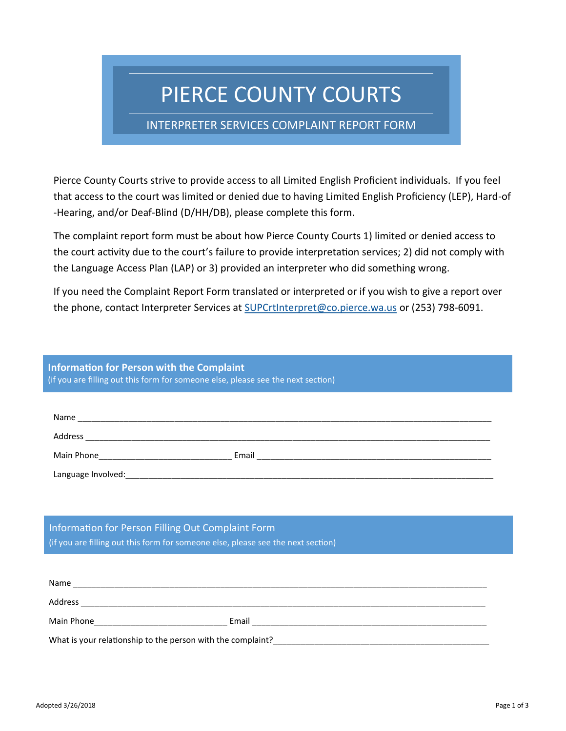# PIERCE COUNTY COURTS

### INTERPRETER SERVICES COMPLAINT REPORT FORM

Pierce County Courts strive to provide access to all Limited English Proficient individuals. If you feel that access to the court was limited or denied due to having Limited English Proficiency (LEP), Hard-of -Hearing, and/or Deaf-Blind (D/HH/DB), please complete this form.

The complaint report form must be about how Pierce County Courts 1) limited or denied access to the court activity due to the court's failure to provide interpretation services; 2) did not comply with the Language Access Plan (LAP) or 3) provided an interpreter who did something wrong.

If you need the Complaint Report Form translated or interpreted or if you wish to give a report over the phone, contact Interpreter Services at [SUPCrtInterpret@co.pierce.wa.us](mailto:SUPCrtInterpret%20%3cSUPCrtInterpret@co.pierce.wa.us%3e) or (253) 798-6091.

## **Information for Person with the Complaint**

(if you are filling out this form for someone else, please see the next section)

| Name               |       |
|--------------------|-------|
| Address            |       |
| Main Phone         | Email |
| Language Involved: |       |

Information for Person Filling Out Complaint Form (if you are filling out this form for someone else, please see the next section)

| Name                                                        |       |  |
|-------------------------------------------------------------|-------|--|
| Address                                                     |       |  |
| Main Phone                                                  | Email |  |
| What is your relationship to the person with the complaint? |       |  |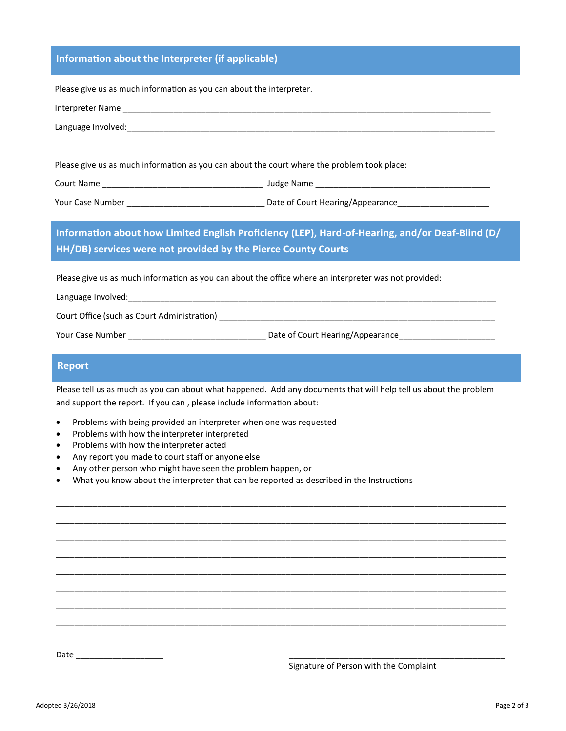#### **Information about the Interpreter (if applicable)**

Please give us as much information as you can about the interpreter.

| Please give us as much information as you can about the court where the problem took place:           |  |  |
|-------------------------------------------------------------------------------------------------------|--|--|
|                                                                                                       |  |  |
|                                                                                                       |  |  |
|                                                                                                       |  |  |
| Information about how Limited English Proficiency (LEP), Hard-of-Hearing, and/or Deaf-Blind (D/       |  |  |
| HH/DB) services were not provided by the Pierce County Courts                                         |  |  |
| Please give us as much information as you can about the office where an interpreter was not provided: |  |  |
|                                                                                                       |  |  |
|                                                                                                       |  |  |

#### **Report**

Please tell us as much as you can about what happened. Add any documents that will help tell us about the problem and support the report. If you can , please include information about:

\_\_\_\_\_\_\_\_\_\_\_\_\_\_\_\_\_\_\_\_\_\_\_\_\_\_\_\_\_\_\_\_\_\_\_\_\_\_\_\_\_\_\_\_\_\_\_\_\_\_\_\_\_\_\_\_\_\_\_\_\_\_\_\_\_\_\_\_\_\_\_\_\_\_\_\_\_\_\_\_\_\_\_\_\_\_\_\_\_\_\_\_\_\_\_\_\_\_ \_\_\_\_\_\_\_\_\_\_\_\_\_\_\_\_\_\_\_\_\_\_\_\_\_\_\_\_\_\_\_\_\_\_\_\_\_\_\_\_\_\_\_\_\_\_\_\_\_\_\_\_\_\_\_\_\_\_\_\_\_\_\_\_\_\_\_\_\_\_\_\_\_\_\_\_\_\_\_\_\_\_\_\_\_\_\_\_\_\_\_\_\_\_\_\_\_\_ \_\_\_\_\_\_\_\_\_\_\_\_\_\_\_\_\_\_\_\_\_\_\_\_\_\_\_\_\_\_\_\_\_\_\_\_\_\_\_\_\_\_\_\_\_\_\_\_\_\_\_\_\_\_\_\_\_\_\_\_\_\_\_\_\_\_\_\_\_\_\_\_\_\_\_\_\_\_\_\_\_\_\_\_\_\_\_\_\_\_\_\_\_\_\_\_\_\_ \_\_\_\_\_\_\_\_\_\_\_\_\_\_\_\_\_\_\_\_\_\_\_\_\_\_\_\_\_\_\_\_\_\_\_\_\_\_\_\_\_\_\_\_\_\_\_\_\_\_\_\_\_\_\_\_\_\_\_\_\_\_\_\_\_\_\_\_\_\_\_\_\_\_\_\_\_\_\_\_\_\_\_\_\_\_\_\_\_\_\_\_\_\_\_\_\_\_ \_\_\_\_\_\_\_\_\_\_\_\_\_\_\_\_\_\_\_\_\_\_\_\_\_\_\_\_\_\_\_\_\_\_\_\_\_\_\_\_\_\_\_\_\_\_\_\_\_\_\_\_\_\_\_\_\_\_\_\_\_\_\_\_\_\_\_\_\_\_\_\_\_\_\_\_\_\_\_\_\_\_\_\_\_\_\_\_\_\_\_\_\_\_\_\_\_\_ \_\_\_\_\_\_\_\_\_\_\_\_\_\_\_\_\_\_\_\_\_\_\_\_\_\_\_\_\_\_\_\_\_\_\_\_\_\_\_\_\_\_\_\_\_\_\_\_\_\_\_\_\_\_\_\_\_\_\_\_\_\_\_\_\_\_\_\_\_\_\_\_\_\_\_\_\_\_\_\_\_\_\_\_\_\_\_\_\_\_\_\_\_\_\_\_\_\_ \_\_\_\_\_\_\_\_\_\_\_\_\_\_\_\_\_\_\_\_\_\_\_\_\_\_\_\_\_\_\_\_\_\_\_\_\_\_\_\_\_\_\_\_\_\_\_\_\_\_\_\_\_\_\_\_\_\_\_\_\_\_\_\_\_\_\_\_\_\_\_\_\_\_\_\_\_\_\_\_\_\_\_\_\_\_\_\_\_\_\_\_\_\_\_\_\_\_ \_\_\_\_\_\_\_\_\_\_\_\_\_\_\_\_\_\_\_\_\_\_\_\_\_\_\_\_\_\_\_\_\_\_\_\_\_\_\_\_\_\_\_\_\_\_\_\_\_\_\_\_\_\_\_\_\_\_\_\_\_\_\_\_\_\_\_\_\_\_\_\_\_\_\_\_\_\_\_\_\_\_\_\_\_\_\_\_\_\_\_\_\_\_\_\_\_\_

Your Case Number \_\_\_\_\_\_\_\_\_\_\_\_\_\_\_\_\_\_\_\_\_\_\_\_\_\_\_\_\_\_ Date of Court Hearing/Appearance\_\_\_\_\_\_\_\_\_\_\_\_\_\_\_\_\_\_\_\_\_

- Problems with being provided an interpreter when one was requested
- Problems with how the interpreter interpreted
- Problems with how the interpreter acted
- Any report you made to court staff or anyone else
- Any other person who might have seen the problem happen, or
- What you know about the interpreter that can be reported as described in the Instructions

Date \_\_\_\_\_\_\_\_\_\_\_\_\_\_\_\_\_\_\_ \_\_\_\_\_\_\_\_\_\_\_\_\_\_\_\_\_\_\_\_\_\_\_\_\_\_\_\_\_\_\_\_\_\_\_\_\_\_\_\_\_\_\_\_\_\_\_

Signature of Person with the Complaint